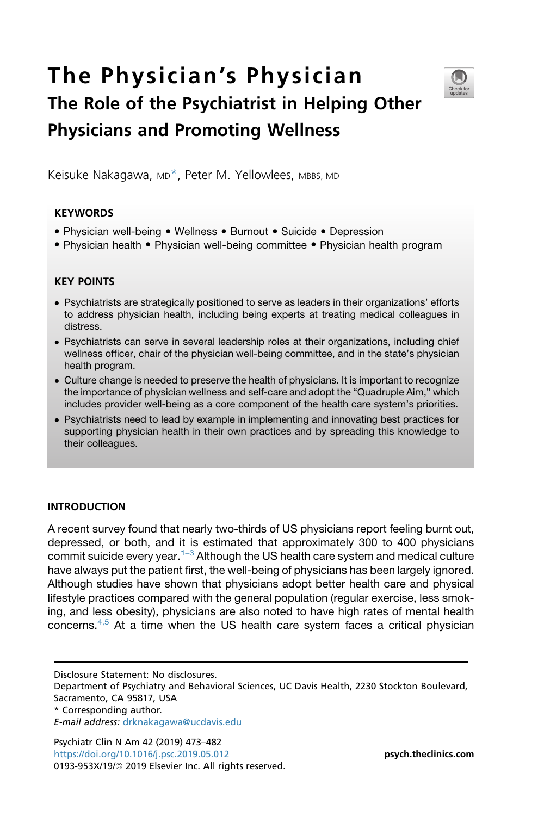# The Physician's Physician The Role of the Psychiatrist in Helping Other Physicians and Promoting Wellness



Keisuke Nakagawa,  $MD^*$ , Peter M. Yellowlees, MBBS, MD

#### **KEYWORDS**

- Physician well-being Wellness Burnout Suicide Depression
- Physician health Physician well-being committee Physician health program

#### KEY POINTS

- Psychiatrists are strategically positioned to serve as leaders in their organizations' efforts to address physician health, including being experts at treating medical colleagues in distress.
- Psychiatrists can serve in several leadership roles at their organizations, including chief wellness officer, chair of the physician well-being committee, and in the state's physician health program.
- Culture change is needed to preserve the health of physicians. It is important to recognize the importance of physician wellness and self-care and adopt the "Quadruple Aim," which includes provider well-being as a core component of the health care system's priorities.
- Psychiatrists need to lead by example in implementing and innovating best practices for supporting physician health in their own practices and by spreading this knowledge to their colleagues.

#### INTRODUCTION

A recent survey found that nearly two-thirds of US physicians report feeling burnt out, depressed, or both, and it is estimated that approximately 300 to 400 physicians commit suicide every year.<sup> $1–3$ </sup> Although the US health care system and medical culture have always put the patient first, the well-being of physicians has been largely ignored. Although studies have shown that physicians adopt better health care and physical lifestyle practices compared with the general population (regular exercise, less smoking, and less obesity), physicians are also noted to have high rates of mental health concerns. $4,5$  At a time when the US health care system faces a critical physician

Disclosure Statement: No disclosures.

Department of Psychiatry and Behavioral Sciences, UC Davis Health, 2230 Stockton Boulevard, Sacramento, CA 95817, USA

\* Corresponding author.

E-mail address: [drknakagawa@ucdavis.edu](mailto:drknakagawa@ucdavis.edu)

Psychiatr Clin N Am 42 (2019) 473–482 <https://doi.org/10.1016/j.psc.2019.05.012> **[psych.theclinics.com](http://psych.theclinics.com)** 0193-953X/19/@ 2019 Elsevier Inc. All rights reserved.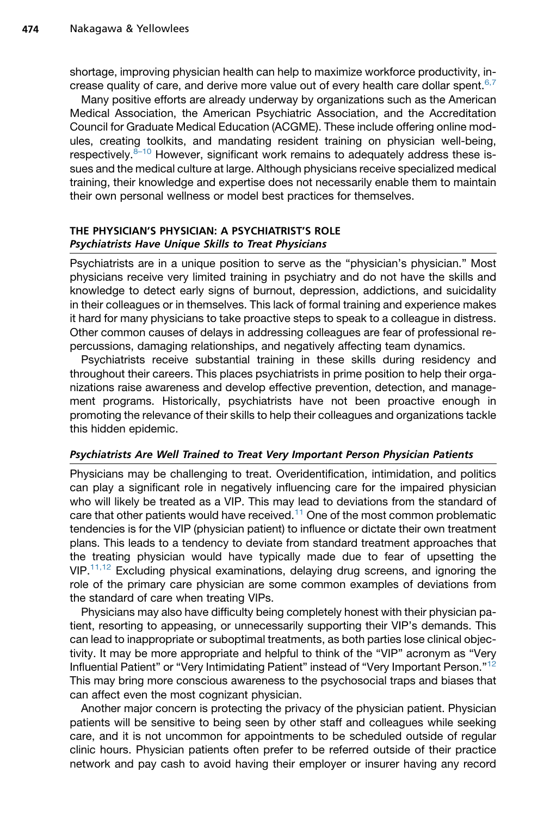shortage, improving physician health can help to maximize workforce productivity, increase quality of care, and derive more value out of every health care dollar spent. $6,7$ 

Many positive efforts are already underway by organizations such as the American Medical Association, the American Psychiatric Association, and the Accreditation Council for Graduate Medical Education (ACGME). These include offering online modules, creating toolkits, and mandating resident training on physician well-being, respectively. $8-10$  However, significant work remains to adequately address these issues and the medical culture at large. Although physicians receive specialized medical training, their knowledge and expertise does not necessarily enable them to maintain their own personal wellness or model best practices for themselves.

#### THE PHYSICIAN'S PHYSICIAN: A PSYCHIATRIST'S ROLE Psychiatrists Have Unique Skills to Treat Physicians

Psychiatrists are in a unique position to serve as the "physician's physician." Most physicians receive very limited training in psychiatry and do not have the skills and knowledge to detect early signs of burnout, depression, addictions, and suicidality in their colleagues or in themselves. This lack of formal training and experience makes it hard for many physicians to take proactive steps to speak to a colleague in distress. Other common causes of delays in addressing colleagues are fear of professional repercussions, damaging relationships, and negatively affecting team dynamics.

Psychiatrists receive substantial training in these skills during residency and throughout their careers. This places psychiatrists in prime position to help their organizations raise awareness and develop effective prevention, detection, and management programs. Historically, psychiatrists have not been proactive enough in promoting the relevance of their skills to help their colleagues and organizations tackle this hidden epidemic.

#### Psychiatrists Are Well Trained to Treat Very Important Person Physician Patients

Physicians may be challenging to treat. Overidentification, intimidation, and politics can play a significant role in negatively influencing care for the impaired physician who will likely be treated as a VIP. This may lead to deviations from the standard of care that other patients would have received. $11$  One of the most common problematic tendencies is for the VIP (physician patient) to influence or dictate their own treatment plans. This leads to a tendency to deviate from standard treatment approaches that the treating physician would have typically made due to fear of upsetting the  $VIP$ .<sup>[11,12](#page-8-0)</sup> Excluding physical examinations, delaying drug screens, and ignoring the role of the primary care physician are some common examples of deviations from the standard of care when treating VIPs.

Physicians may also have difficulty being completely honest with their physician patient, resorting to appeasing, or unnecessarily supporting their VIP's demands. This can lead to inappropriate or suboptimal treatments, as both parties lose clinical objectivity. It may be more appropriate and helpful to think of the "VIP" acronym as "Very Influential Patient" or "Very Intimidating Patient" instead of "Very Important Person."<sup>[12](#page-8-0)</sup> This may bring more conscious awareness to the psychosocial traps and biases that can affect even the most cognizant physician.

Another major concern is protecting the privacy of the physician patient. Physician patients will be sensitive to being seen by other staff and colleagues while seeking care, and it is not uncommon for appointments to be scheduled outside of regular clinic hours. Physician patients often prefer to be referred outside of their practice network and pay cash to avoid having their employer or insurer having any record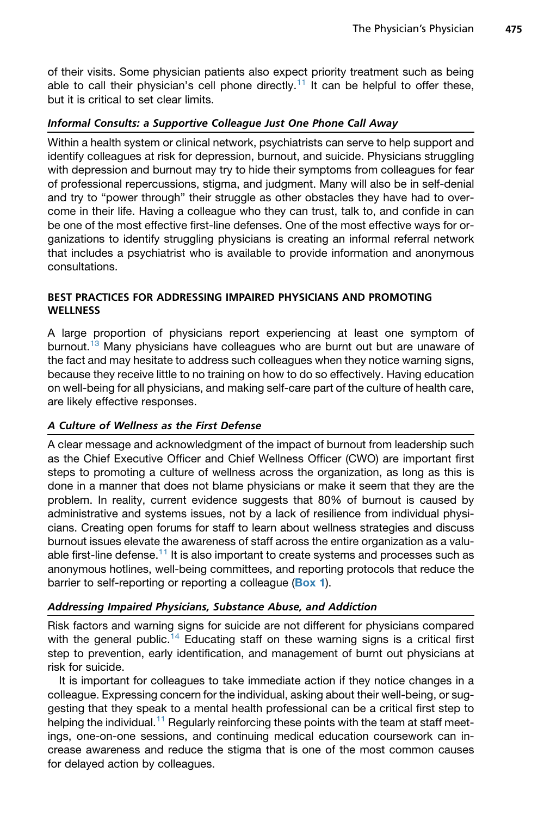of their visits. Some physician patients also expect priority treatment such as being able to call their physician's cell phone directly.<sup>[11](#page-8-0)</sup> It can be helpful to offer these, but it is critical to set clear limits.

## Informal Consults: a Supportive Colleague Just One Phone Call Away

Within a health system or clinical network, psychiatrists can serve to help support and identify colleagues at risk for depression, burnout, and suicide. Physicians struggling with depression and burnout may try to hide their symptoms from colleagues for fear of professional repercussions, stigma, and judgment. Many will also be in self-denial and try to "power through" their struggle as other obstacles they have had to overcome in their life. Having a colleague who they can trust, talk to, and confide in can be one of the most effective first-line defenses. One of the most effective ways for organizations to identify struggling physicians is creating an informal referral network that includes a psychiatrist who is available to provide information and anonymous consultations.

## BEST PRACTICES FOR ADDRESSING IMPAIRED PHYSICIANS AND PROMOTING **WELLNESS**

A large proportion of physicians report experiencing at least one symptom of burnout.<sup>[13](#page-8-0)</sup> Many physicians have colleagues who are burnt out but are unaware of the fact and may hesitate to address such colleagues when they notice warning signs, because they receive little to no training on how to do so effectively. Having education on well-being for all physicians, and making self-care part of the culture of health care, are likely effective responses.

# A Culture of Wellness as the First Defense

A clear message and acknowledgment of the impact of burnout from leadership such as the Chief Executive Officer and Chief Wellness Officer (CWO) are important first steps to promoting a culture of wellness across the organization, as long as this is done in a manner that does not blame physicians or make it seem that they are the problem. In reality, current evidence suggests that 80% of burnout is caused by administrative and systems issues, not by a lack of resilience from individual physicians. Creating open forums for staff to learn about wellness strategies and discuss burnout issues elevate the awareness of staff across the entire organization as a valu-able first-line defense.<sup>[11](#page-8-0)</sup> It is also important to create systems and processes such as anonymous hotlines, well-being committees, and reporting protocols that reduce the barrier to self-reporting or reporting a colleague ([Box 1](#page-3-0)).

# Addressing Impaired Physicians, Substance Abuse, and Addiction

Risk factors and warning signs for suicide are not different for physicians compared with the general public.<sup>[14](#page-8-0)</sup> Educating staff on these warning signs is a critical first step to prevention, early identification, and management of burnt out physicians at risk for suicide.

It is important for colleagues to take immediate action if they notice changes in a colleague. Expressing concern for the individual, asking about their well-being, or suggesting that they speak to a mental health professional can be a critical first step to helping the individual.<sup>[11](#page-8-0)</sup> Regularly reinforcing these points with the team at staff meetings, one-on-one sessions, and continuing medical education coursework can increase awareness and reduce the stigma that is one of the most common causes for delayed action by colleagues.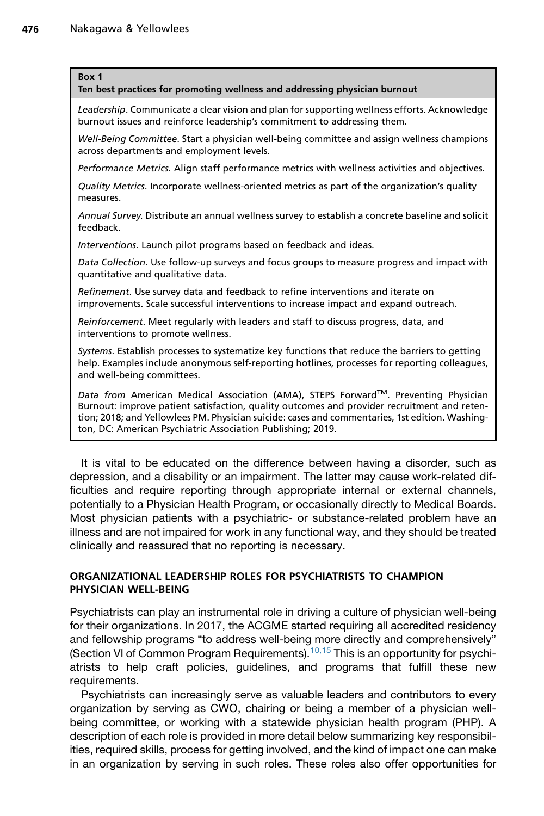#### <span id="page-3-0"></span>Box 1

#### Ten best practices for promoting wellness and addressing physician burnout

Leadership. Communicate a clear vision and plan for supporting wellness efforts. Acknowledge burnout issues and reinforce leadership's commitment to addressing them.

Well-Being Committee. Start a physician well-being committee and assign wellness champions across departments and employment levels.

Performance Metrics. Align staff performance metrics with wellness activities and objectives.

Quality Metrics. Incorporate wellness-oriented metrics as part of the organization's quality measures.

Annual Survey. Distribute an annual wellness survey to establish a concrete baseline and solicit feedback.

Interventions. Launch pilot programs based on feedback and ideas.

Data Collection. Use follow-up surveys and focus groups to measure progress and impact with quantitative and qualitative data.

Refinement. Use survey data and feedback to refine interventions and iterate on improvements. Scale successful interventions to increase impact and expand outreach.

Reinforcement. Meet regularly with leaders and staff to discuss progress, data, and interventions to promote wellness.

Systems. Establish processes to systematize key functions that reduce the barriers to getting help. Examples include anonymous self-reporting hotlines, processes for reporting colleagues, and well-being committees.

Data from American Medical Association (AMA), STEPS Forward<sup>TM</sup>. Preventing Physician Burnout: improve patient satisfaction, quality outcomes and provider recruitment and retention; 2018; and Yellowlees PM. Physician suicide: cases and commentaries, 1st edition. Washington, DC: American Psychiatric Association Publishing; 2019.

It is vital to be educated on the difference between having a disorder, such as depression, and a disability or an impairment. The latter may cause work-related difficulties and require reporting through appropriate internal or external channels, potentially to a Physician Health Program, or occasionally directly to Medical Boards. Most physician patients with a psychiatric- or substance-related problem have an illness and are not impaired for work in any functional way, and they should be treated clinically and reassured that no reporting is necessary.

#### ORGANIZATIONAL LEADERSHIP ROLES FOR PSYCHIATRISTS TO CHAMPION PHYSICIAN WELL-BEING

Psychiatrists can play an instrumental role in driving a culture of physician well-being for their organizations. In 2017, the ACGME started requiring all accredited residency and fellowship programs "to address well-being more directly and comprehensively" (Section VI of Common Program Requirements).<sup>[10,15](#page-8-0)</sup> This is an opportunity for psychiatrists to help craft policies, guidelines, and programs that fulfill these new requirements.

Psychiatrists can increasingly serve as valuable leaders and contributors to every organization by serving as CWO, chairing or being a member of a physician wellbeing committee, or working with a statewide physician health program (PHP). A description of each role is provided in more detail below summarizing key responsibilities, required skills, process for getting involved, and the kind of impact one can make in an organization by serving in such roles. These roles also offer opportunities for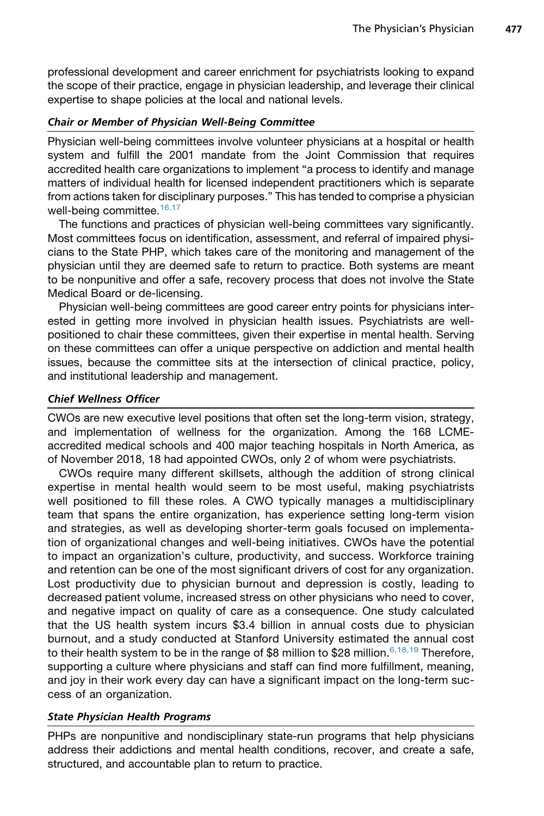professional development and career enrichment for psychiatrists looking to expand the scope of their practice, engage in physician leadership, and leverage their clinical expertise to shape policies at the local and national levels.

#### Chair or Member of Physician Well-Being Committee

Physician well-being committees involve volunteer physicians at a hospital or health system and fulfill the 2001 mandate from the Joint Commission that requires accredited health care organizations to implement "a process to identify and manage matters of individual health for licensed independent practitioners which is separate from actions taken for disciplinary purposes." This has tended to comprise a physician well-being committee.<sup>[16,17](#page-8-0)</sup>

The functions and practices of physician well-being committees vary significantly. Most committees focus on identification, assessment, and referral of impaired physicians to the State PHP, which takes care of the monitoring and management of the physician until they are deemed safe to return to practice. Both systems are meant to be nonpunitive and offer a safe, recovery process that does not involve the State Medical Board or de-licensing.

Physician well-being committees are good career entry points for physicians interested in getting more involved in physician health issues. Psychiatrists are wellpositioned to chair these committees, given their expertise in mental health. Serving on these committees can offer a unique perspective on addiction and mental health issues, because the committee sits at the intersection of clinical practice, policy, and institutional leadership and management.

#### Chief Wellness Officer

CWOs are new executive level positions that often set the long-term vision, strategy, and implementation of wellness for the organization. Among the 168 LCMEaccredited medical schools and 400 major teaching hospitals in North America, as of November 2018, 18 had appointed CWOs, only 2 of whom were psychiatrists.

CWOs require many different skillsets, although the addition of strong clinical expertise in mental health would seem to be most useful, making psychiatrists well positioned to fill these roles. A CWO typically manages a multidisciplinary team that spans the entire organization, has experience setting long-term vision and strategies, as well as developing shorter-term goals focused on implementation of organizational changes and well-being initiatives. CWOs have the potential to impact an organization's culture, productivity, and success. Workforce training and retention can be one of the most significant drivers of cost for any organization. Lost productivity due to physician burnout and depression is costly, leading to decreased patient volume, increased stress on other physicians who need to cover, and negative impact on quality of care as a consequence. One study calculated that the US health system incurs \$3.4 billion in annual costs due to physician burnout, and a study conducted at Stanford University estimated the annual cost to their health system to be in the range of \$8 million to \$28 million.<sup>[6,18,19](#page-8-0)</sup> Therefore, supporting a culture where physicians and staff can find more fulfillment, meaning, and joy in their work every day can have a significant impact on the long-term success of an organization.

## State Physician Health Programs

PHPs are nonpunitive and nondisciplinary state-run programs that help physicians address their addictions and mental health conditions, recover, and create a safe, structured, and accountable plan to return to practice.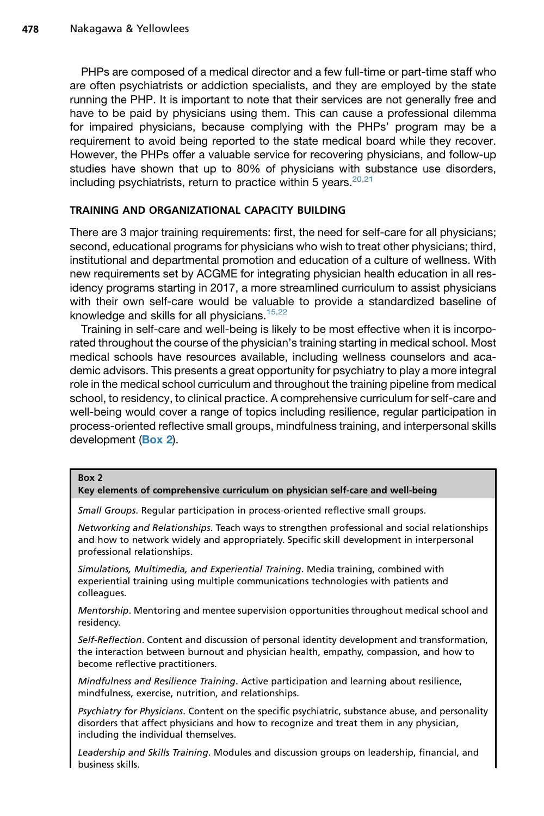PHPs are composed of a medical director and a few full-time or part-time staff who are often psychiatrists or addiction specialists, and they are employed by the state running the PHP. It is important to note that their services are not generally free and have to be paid by physicians using them. This can cause a professional dilemma for impaired physicians, because complying with the PHPs' program may be a requirement to avoid being reported to the state medical board while they recover. However, the PHPs offer a valuable service for recovering physicians, and follow-up studies have shown that up to 80% of physicians with substance use disorders, including psychiatrists, return to practice within 5 years. $20,21$ 

#### TRAINING AND ORGANIZATIONAL CAPACITY BUILDING

There are 3 major training requirements: first, the need for self-care for all physicians; second, educational programs for physicians who wish to treat other physicians; third, institutional and departmental promotion and education of a culture of wellness. With new requirements set by ACGME for integrating physician health education in all residency programs starting in 2017, a more streamlined curriculum to assist physicians with their own self-care would be valuable to provide a standardized baseline of knowledge and skills for all physicians.<sup>[15,22](#page-8-0)</sup>

Training in self-care and well-being is likely to be most effective when it is incorporated throughout the course of the physician's training starting in medical school. Most medical schools have resources available, including wellness counselors and academic advisors. This presents a great opportunity for psychiatry to play a more integral role in the medical school curriculum and throughout the training pipeline from medical school, to residency, to clinical practice. A comprehensive curriculum for self-care and well-being would cover a range of topics including resilience, regular participation in process-oriented reflective small groups, mindfulness training, and interpersonal skills development (Box 2).

#### Box 2

#### Key elements of comprehensive curriculum on physician self-care and well-being

Small Groups. Regular participation in process-oriented reflective small groups.

Networking and Relationships. Teach ways to strengthen professional and social relationships and how to network widely and appropriately. Specific skill development in interpersonal professional relationships.

Simulations, Multimedia, and Experiential Training. Media training, combined with experiential training using multiple communications technologies with patients and colleagues.

Mentorship. Mentoring and mentee supervision opportunities throughout medical school and residency.

Self-Reflection. Content and discussion of personal identity development and transformation, the interaction between burnout and physician health, empathy, compassion, and how to become reflective practitioners.

Mindfulness and Resilience Training. Active participation and learning about resilience, mindfulness, exercise, nutrition, and relationships.

Psychiatry for Physicians. Content on the specific psychiatric, substance abuse, and personality disorders that affect physicians and how to recognize and treat them in any physician, including the individual themselves.

Leadership and Skills Training. Modules and discussion groups on leadership, financial, and business skills.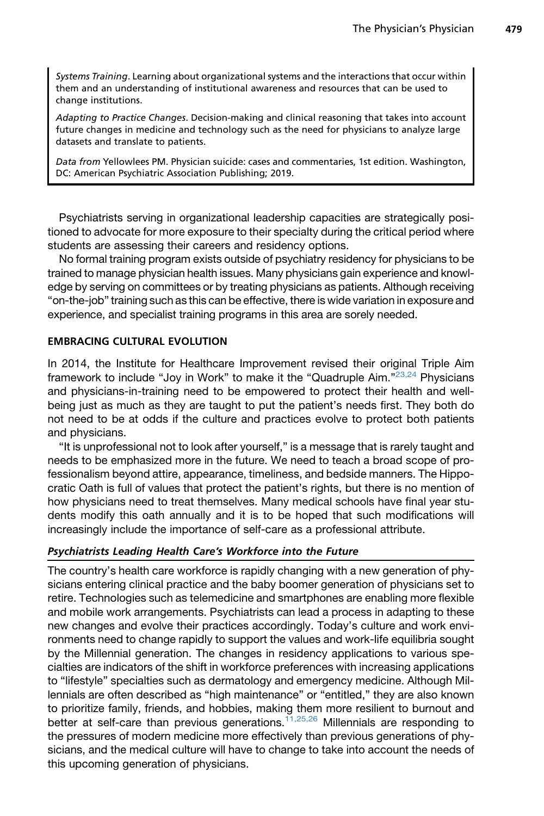Systems Training. Learning about organizational systems and the interactions that occur within them and an understanding of institutional awareness and resources that can be used to change institutions.

Adapting to Practice Changes. Decision-making and clinical reasoning that takes into account future changes in medicine and technology such as the need for physicians to analyze large datasets and translate to patients.

Data from Yellowlees PM. Physician suicide: cases and commentaries, 1st edition. Washington, DC: American Psychiatric Association Publishing; 2019.

Psychiatrists serving in organizational leadership capacities are strategically positioned to advocate for more exposure to their specialty during the critical period where students are assessing their careers and residency options.

No formal training program exists outside of psychiatry residency for physicians to be trained to manage physician health issues. Many physicians gain experience and knowledge by serving on committees or by treating physicians as patients. Although receiving "on-the-job" training such as this can be effective, there is wide variation in exposure and experience, and specialist training programs in this area are sorely needed.

#### EMBRACING CULTURAL EVOLUTION

In 2014, the Institute for Healthcare Improvement revised their original Triple Aim framework to include "Joy in Work" to make it the "Quadruple Aim."<sup>[23,24](#page-9-0)</sup> Physicians and physicians-in-training need to be empowered to protect their health and wellbeing just as much as they are taught to put the patient's needs first. They both do not need to be at odds if the culture and practices evolve to protect both patients and physicians.

"It is unprofessional not to look after yourself," is a message that is rarely taught and needs to be emphasized more in the future. We need to teach a broad scope of professionalism beyond attire, appearance, timeliness, and bedside manners. The Hippocratic Oath is full of values that protect the patient's rights, but there is no mention of how physicians need to treat themselves. Many medical schools have final year students modify this oath annually and it is to be hoped that such modifications will increasingly include the importance of self-care as a professional attribute.

#### Psychiatrists Leading Health Care's Workforce into the Future

The country's health care workforce is rapidly changing with a new generation of physicians entering clinical practice and the baby boomer generation of physicians set to retire. Technologies such as telemedicine and smartphones are enabling more flexible and mobile work arrangements. Psychiatrists can lead a process in adapting to these new changes and evolve their practices accordingly. Today's culture and work environments need to change rapidly to support the values and work-life equilibria sought by the Millennial generation. The changes in residency applications to various specialties are indicators of the shift in workforce preferences with increasing applications to "lifestyle" specialties such as dermatology and emergency medicine. Although Millennials are often described as "high maintenance" or "entitled," they are also known to prioritize family, friends, and hobbies, making them more resilient to burnout and better at self-care than previous generations.<sup>[11,25,26](#page-8-0)</sup> Millennials are responding to the pressures of modern medicine more effectively than previous generations of physicians, and the medical culture will have to change to take into account the needs of this upcoming generation of physicians.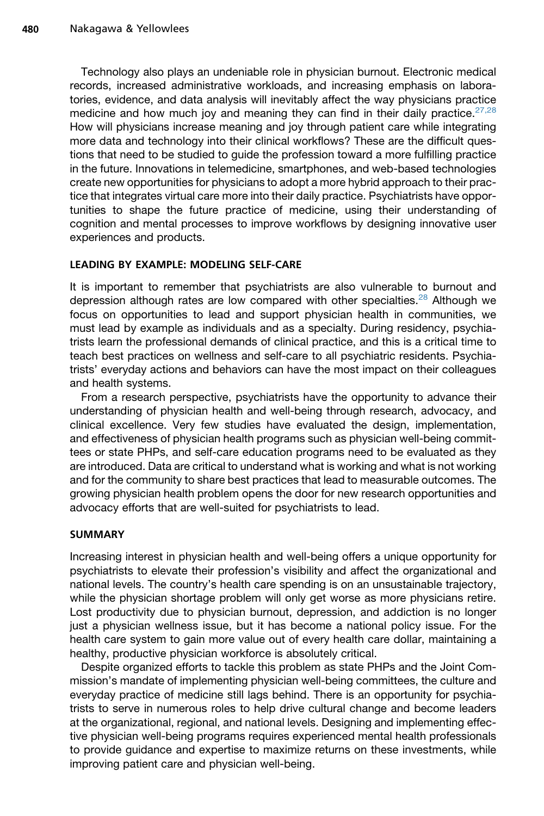Technology also plays an undeniable role in physician burnout. Electronic medical records, increased administrative workloads, and increasing emphasis on laboratories, evidence, and data analysis will inevitably affect the way physicians practice medicine and how much joy and meaning they can find in their daily practice.<sup>[27,28](#page-9-0)</sup> How will physicians increase meaning and joy through patient care while integrating more data and technology into their clinical workflows? These are the difficult questions that need to be studied to guide the profession toward a more fulfilling practice in the future. Innovations in telemedicine, smartphones, and web-based technologies create new opportunities for physicians to adopt a more hybrid approach to their practice that integrates virtual care more into their daily practice. Psychiatrists have opportunities to shape the future practice of medicine, using their understanding of cognition and mental processes to improve workflows by designing innovative user experiences and products.

#### LEADING BY EXAMPLE: MODELING SELF-CARE

It is important to remember that psychiatrists are also vulnerable to burnout and depression although rates are low compared with other specialties.<sup>[28](#page-9-0)</sup> Although we focus on opportunities to lead and support physician health in communities, we must lead by example as individuals and as a specialty. During residency, psychiatrists learn the professional demands of clinical practice, and this is a critical time to teach best practices on wellness and self-care to all psychiatric residents. Psychiatrists' everyday actions and behaviors can have the most impact on their colleagues and health systems.

From a research perspective, psychiatrists have the opportunity to advance their understanding of physician health and well-being through research, advocacy, and clinical excellence. Very few studies have evaluated the design, implementation, and effectiveness of physician health programs such as physician well-being committees or state PHPs, and self-care education programs need to be evaluated as they are introduced. Data are critical to understand what is working and what is not working and for the community to share best practices that lead to measurable outcomes. The growing physician health problem opens the door for new research opportunities and advocacy efforts that are well-suited for psychiatrists to lead.

#### SUMMARY

Increasing interest in physician health and well-being offers a unique opportunity for psychiatrists to elevate their profession's visibility and affect the organizational and national levels. The country's health care spending is on an unsustainable trajectory, while the physician shortage problem will only get worse as more physicians retire. Lost productivity due to physician burnout, depression, and addiction is no longer just a physician wellness issue, but it has become a national policy issue. For the health care system to gain more value out of every health care dollar, maintaining a healthy, productive physician workforce is absolutely critical.

Despite organized efforts to tackle this problem as state PHPs and the Joint Commission's mandate of implementing physician well-being committees, the culture and everyday practice of medicine still lags behind. There is an opportunity for psychiatrists to serve in numerous roles to help drive cultural change and become leaders at the organizational, regional, and national levels. Designing and implementing effective physician well-being programs requires experienced mental health professionals to provide guidance and expertise to maximize returns on these investments, while improving patient care and physician well-being.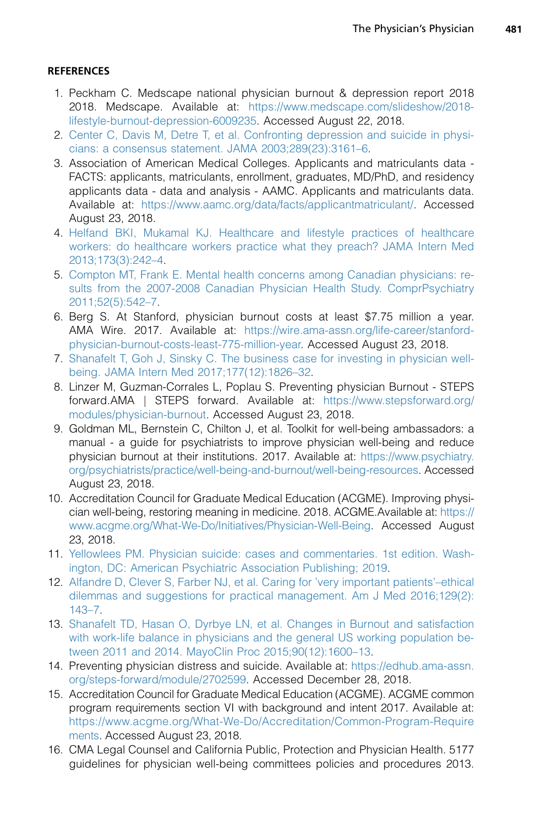#### <span id="page-8-0"></span>**REFERENCES**

- 1. Peckham C. Medscape national physician burnout & depression report 2018 2018. Medscape. Available at: [https://www.medscape.com/slideshow/2018](https://www.medscape.com/slideshow/2018-lifestyle-burnout-depression-6009235) [lifestyle-burnout-depression-6009235.](https://www.medscape.com/slideshow/2018-lifestyle-burnout-depression-6009235) Accessed August 22, 2018.
- 2. [Center C, Davis M, Detre T, et al. Confronting depression and suicide in physi](http://refhub.elsevier.com/S0193-953X(19)30053-X/sref2)[cians: a consensus statement. JAMA 2003;289\(23\):3161–6](http://refhub.elsevier.com/S0193-953X(19)30053-X/sref2).
- 3. Association of American Medical Colleges. Applicants and matriculants data FACTS: applicants, matriculants, enrollment, graduates, MD/PhD, and residency applicants data - data and analysis - AAMC. Applicants and matriculants data. Available at: <https://www.aamc.org/data/facts/applicantmatriculant/>. Accessed August 23, 2018.
- 4. [Helfand BKI, Mukamal KJ. Healthcare and lifestyle practices of healthcare](http://refhub.elsevier.com/S0193-953X(19)30053-X/sref4) [workers: do healthcare workers practice what they preach? JAMA Intern Med](http://refhub.elsevier.com/S0193-953X(19)30053-X/sref4) [2013;173\(3\):242–4.](http://refhub.elsevier.com/S0193-953X(19)30053-X/sref4)
- 5. [Compton MT, Frank E. Mental health concerns among Canadian physicians: re](http://refhub.elsevier.com/S0193-953X(19)30053-X/sref5)[sults from the 2007-2008 Canadian Physician Health Study. ComprPsychiatry](http://refhub.elsevier.com/S0193-953X(19)30053-X/sref5) [2011;52\(5\):542–7.](http://refhub.elsevier.com/S0193-953X(19)30053-X/sref5)
- 6. Berg S. At Stanford, physician burnout costs at least \$7.75 million a year. AMA Wire. 2017. Available at: [https://wire.ama-assn.org/life-career/stanford](https://wire.ama-assn.org/life-career/stanford-physician-burnout-costs-least-775-million-year)[physician-burnout-costs-least-775-million-year.](https://wire.ama-assn.org/life-career/stanford-physician-burnout-costs-least-775-million-year) Accessed August 23, 2018.
- 7. [Shanafelt T, Goh J, Sinsky C. The business case for investing in physician well](http://refhub.elsevier.com/S0193-953X(19)30053-X/sref7)[being. JAMA Intern Med 2017;177\(12\):1826–32.](http://refhub.elsevier.com/S0193-953X(19)30053-X/sref7)
- 8. Linzer M, Guzman-Corrales L, Poplau S. Preventing physician Burnout STEPS forward.AMA | STEPS forward. Available at: [https://www.stepsforward.org/](https://www.stepsforward.org/modules/physician-burnout) [modules/physician-burnout.](https://www.stepsforward.org/modules/physician-burnout) Accessed August 23, 2018.
- 9. Goldman ML, Bernstein C, Chilton J, et al. Toolkit for well-being ambassadors: a manual - a guide for psychiatrists to improve physician well-being and reduce physician burnout at their institutions. 2017. Available at: [https://www.psychiatry.](https://www.psychiatry.org/psychiatrists/practice/well-being-and-burnout/well-being-resources) [org/psychiatrists/practice/well-being-and-burnout/well-being-resources](https://www.psychiatry.org/psychiatrists/practice/well-being-and-burnout/well-being-resources). Accessed August 23, 2018.
- 10. Accreditation Council for Graduate Medical Education (ACGME). Improving physician well-being, restoring meaning in medicine. 2018. ACGME.Available at: [https://](https://www.acgme.org/What-We-Do/Initiatives/Physician-Well-Being) [www.acgme.org/What-We-Do/Initiatives/Physician-Well-Being](https://www.acgme.org/What-We-Do/Initiatives/Physician-Well-Being). Accessed August 23, 2018.
- 11. [Yellowlees PM. Physician suicide: cases and commentaries. 1st edition. Wash](http://refhub.elsevier.com/S0193-953X(19)30053-X/sref11)[ington, DC: American Psychiatric Association Publishing; 2019.](http://refhub.elsevier.com/S0193-953X(19)30053-X/sref11)
- 12. [Alfandre D, Clever S, Farber NJ, et al. Caring for 'very important patients'–ethical](http://refhub.elsevier.com/S0193-953X(19)30053-X/sref12) [dilemmas and suggestions for practical management. Am J Med 2016;129\(2\):](http://refhub.elsevier.com/S0193-953X(19)30053-X/sref12) [143–7](http://refhub.elsevier.com/S0193-953X(19)30053-X/sref12).
- 13. [Shanafelt TD, Hasan O, Dyrbye LN, et al. Changes in Burnout and satisfaction](http://refhub.elsevier.com/S0193-953X(19)30053-X/sref13) [with work-life balance in physicians and the general US working population be](http://refhub.elsevier.com/S0193-953X(19)30053-X/sref13)[tween 2011 and 2014. MayoClin Proc 2015;90\(12\):1600–13](http://refhub.elsevier.com/S0193-953X(19)30053-X/sref13).
- 14. Preventing physician distress and suicide. Available at: [https://edhub.ama-assn.](https://edhub.ama-assn.org/steps-forward/module/2702599) [org/steps-forward/module/2702599](https://edhub.ama-assn.org/steps-forward/module/2702599). Accessed December 28, 2018.
- 15. Accreditation Council for Graduate Medical Education (ACGME). ACGME common program requirements section VI with background and intent 2017. Available at: [https://www.acgme.org/What-We-Do/Accreditation/Common-Program-Require](https://www.acgme.org/What-We-Do/Accreditation/Common-Program-Requirements) [ments.](https://www.acgme.org/What-We-Do/Accreditation/Common-Program-Requirements) Accessed August 23, 2018.
- 16. CMA Legal Counsel and California Public, Protection and Physician Health. 5177 guidelines for physician well-being committees policies and procedures 2013.